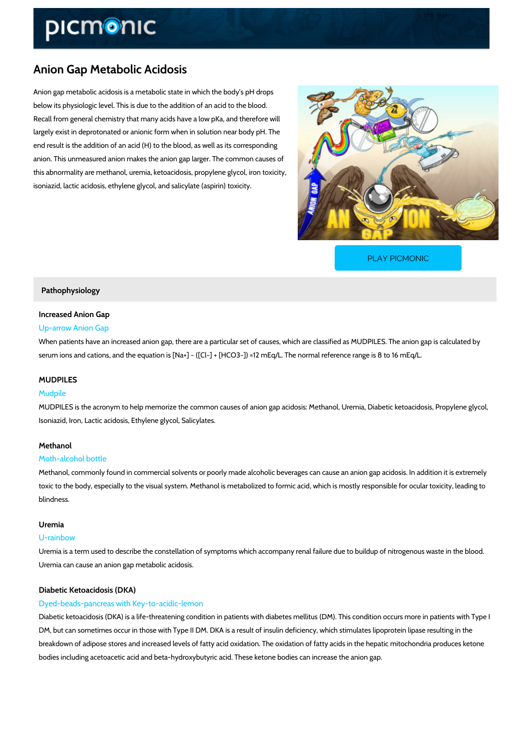# Anion Gap Metabolic Acidosis

Anion gap metabolic acidosis is a metabolic state in which the body s pH drops below its physiologic level. This is due to the addition of an acid to the blood. Recall from general chemistry that many acids have a low pKa, and therefore will largely exist in deprotonated or anionic form when in solution near body pH. The end result is the addition of an acid (H) to the blood, as well as its corresponding anion. This unmeasured anion makes the anion gap larger. The common causes of this abnormality are methanol, uremia, ketoacidosis, propylene glycol, iron toxicity, isoniazid, lactic acidosis, ethylene glycol, and salicylate (aspirin) toxicity.

[PLAY PICMONIC](https://www.picmonic.com/learn/anion-gap-metabolic-acidosis_2512?utm_source=downloadable_content&utm_medium=distributedcontent&utm_campaign=pathways_pdf&utm_content=Anion Gap Metabolic Acidosis&utm_ad_group=leads&utm_market=all)

### Pathophysiology

# Increased Anion Gap

### Up-arrow Anion Gap

When patients have an increased anion gap, there are a particular set of causes, which are cl serum ions and cations, and the equation is  $[Na+]$  "  $([C\Gamma] + [HCO3\Gamma]) = 12$  mEq/L. The normal

# MUDPILES

### Mudpile

MUDPILES is the acronym to help memorize the common causes of anion gap acidosis: Methan Isoniazid, Iron, Lactic acidosis, Ethylene glycol, Salicylates.

# Methanol

#### Moth-alcohol bottle

Methanol, commonly found in commercial solvents or poorly made alcoholic beverages can cau toxic to the body, especially to the visual system. Methanol is metabolized to formic acid, wh blindness.

### Uremia

### U-rainbow

Uremia is a term used to describe the constellation of symptoms which accompany renal failur Uremia can cause an anion gap metabolic acidosis.

### Diabetic Ketoacidosis (DKA)

# Dyed-beads-pancreas with Key-to-acidic-lemon

Diabetic ketoacidosis (DKA) is a life-threatening condition in patients with diabetes mellitus ( DM, but can sometimes occur in those with Type II DM. DKA is a result of insulin deficiency, v breakdown of adipose stores and increased levels of fatty acid oxidation. The oxidation of fat bodies including acetoacetic acid and beta-hydroxybutyric acid. These ketone bodies can incr